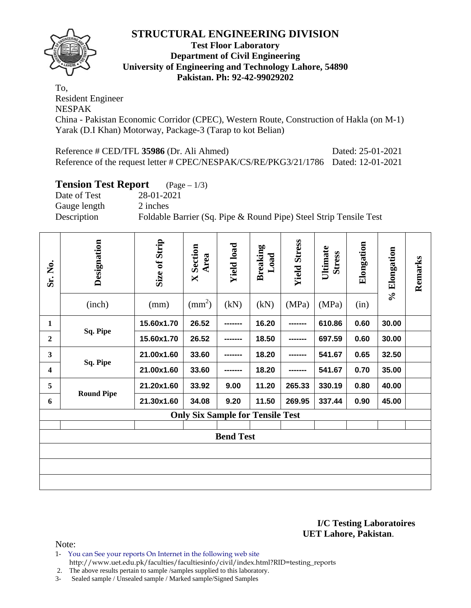

### **Test Floor Laboratory Department of Civil Engineering University of Engineering and Technology Lahore, 54890 Pakistan. Ph: 92-42-99029202**

To, Resident Engineer NESPAK China - Pakistan Economic Corridor (CPEC), Western Route, Construction of Hakla (on M-1) Yarak (D.I Khan) Motorway, Package-3 (Tarap to kot Belian)

Reference # CED/TFL **35986** (Dr. Ali Ahmed) Dated: 25-01-2021 Reference of the request letter # CPEC/NESPAK/CS/RE/PKG3/21/1786 Dated: 12-01-2021

### **Tension Test Report** (Page – 1/3)

Date of Test 28-01-2021 Gauge length 2 inches Description Foldable Barrier (Sq. Pipe & Round Pipe) Steel Strip Tensile Test

| Sr. No.                 | Designation<br>(inch) | Size of Strip<br>(mm) | <b>X</b> Section<br>Area<br>$\text{(mm}^2)$ | <b>Yield load</b><br>(kN) | <b>Breaking</b><br>Load<br>(kN) | <b>Yield Stress</b><br>(MPa) | Ultimate<br><b>Stress</b><br>(MPa) | Elongation<br>(in) | % Elongation | Remarks |
|-------------------------|-----------------------|-----------------------|---------------------------------------------|---------------------------|---------------------------------|------------------------------|------------------------------------|--------------------|--------------|---------|
| $\mathbf{1}$            | Sq. Pipe              | 15.60x1.70            | 26.52                                       | --------                  | 16.20                           | -------                      | 610.86                             | 0.60               | 30.00        |         |
| $\overline{2}$          |                       | 15.60x1.70            | 26.52                                       |                           | 18.50                           |                              | 697.59                             | 0.60               | 30.00        |         |
| $\overline{\mathbf{3}}$ |                       | 21.00x1.60            | 33.60                                       |                           | 18.20                           |                              | 541.67                             | 0.65               | 32.50        |         |
| $\overline{\mathbf{4}}$ | Sq. Pipe              | 21.00x1.60            | 33.60                                       |                           | 18.20                           |                              | 541.67                             | 0.70               | 35.00        |         |
| 5                       | <b>Round Pipe</b>     | 21.20x1.60            | 33.92                                       | 9.00                      | 11.20                           | 265.33                       | 330.19                             | 0.80               | 40.00        |         |
| 6                       |                       | 21.30x1.60            | 34.08                                       | 9.20                      | 11.50                           | 269.95                       | 337.44                             | 0.90               | 45.00        |         |
|                         |                       |                       | <b>Only Six Sample for Tensile Test</b>     |                           |                                 |                              |                                    |                    |              |         |
|                         |                       |                       |                                             | <b>Bend Test</b>          |                                 |                              |                                    |                    |              |         |
|                         |                       |                       |                                             |                           |                                 |                              |                                    |                    |              |         |
|                         |                       |                       |                                             |                           |                                 |                              |                                    |                    |              |         |
|                         |                       |                       |                                             |                           |                                 |                              |                                    |                    |              |         |

**I/C Testing Laboratoires UET Lahore, Pakistan**.

- 1- You can See your reports On Internet in the following web site http://www.uet.edu.pk/faculties/facultiesinfo/civil/index.html?RID=testing\_reports
- 2. The above results pertain to sample /samples supplied to this laboratory.
- 3- Sealed sample / Unsealed sample / Marked sample/Signed Samples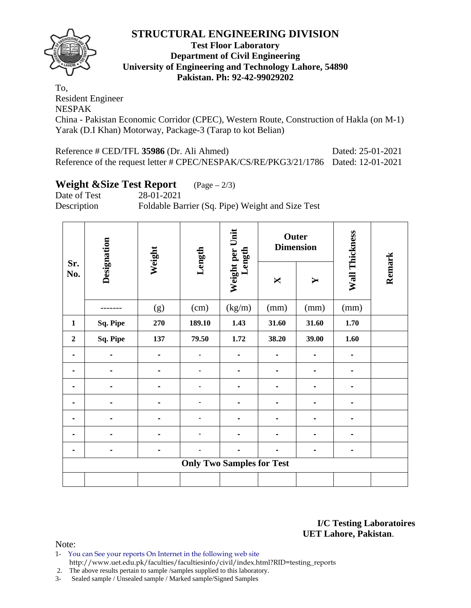

### **Test Floor Laboratory Department of Civil Engineering University of Engineering and Technology Lahore, 54890 Pakistan. Ph: 92-42-99029202**

To, Resident Engineer NESPAK China - Pakistan Economic Corridor (CPEC), Western Route, Construction of Hakla (on M-1) Yarak (D.I Khan) Motorway, Package-3 (Tarap to kot Belian)

Reference # CED/TFL **35986** (Dr. Ali Ahmed) Dated: 25-01-2021 Reference of the request letter # CPEC/NESPAK/CS/RE/PKG3/21/1786 Dated: 12-01-2021

# **Weight &Size Test Report** (Page – 2/3)

Date of Test 28-01-2021 Description Foldable Barrier (Sq. Pipe) Weight and Size Test

| Sr.            | Designation | Weight | Length                           | Weight per Unit<br>Length |                | Outer<br><b>Dimension</b> | Wall Thickness |        |
|----------------|-------------|--------|----------------------------------|---------------------------|----------------|---------------------------|----------------|--------|
| No.            |             |        |                                  |                           | X              | $\blacktriangleright$     |                | Remark |
|                |             | (g)    | (cm)                             | (kg/m)                    | (mm)           | (mm)                      | (mm)           |        |
| $\mathbf{1}$   | Sq. Pipe    | 270    | 189.10                           | 1.43                      | 31.60          | 31.60                     | 1.70           |        |
| $\overline{2}$ | Sq. Pipe    | 137    | 79.50                            | 1.72                      | 38.20          | 39.00                     | 1.60           |        |
| -              |             |        |                                  |                           |                |                           |                |        |
|                |             |        |                                  |                           | $\blacksquare$ |                           |                |        |
| -              |             |        |                                  |                           | $\blacksquare$ |                           |                |        |
| $\blacksquare$ |             |        |                                  |                           | $\blacksquare$ | $\blacksquare$            |                |        |
|                |             |        |                                  |                           |                |                           |                |        |
| -              |             |        |                                  |                           | $\blacksquare$ |                           |                |        |
|                |             |        |                                  |                           |                |                           |                |        |
|                |             |        | <b>Only Two Samples for Test</b> |                           |                |                           |                |        |
|                |             |        |                                  |                           |                |                           |                |        |

**I/C Testing Laboratoires UET Lahore, Pakistan**.

- 1- You can See your reports On Internet in the following web site http://www.uet.edu.pk/faculties/facultiesinfo/civil/index.html?RID=testing\_reports
- 2. The above results pertain to sample /samples supplied to this laboratory.
- 3- Sealed sample / Unsealed sample / Marked sample/Signed Samples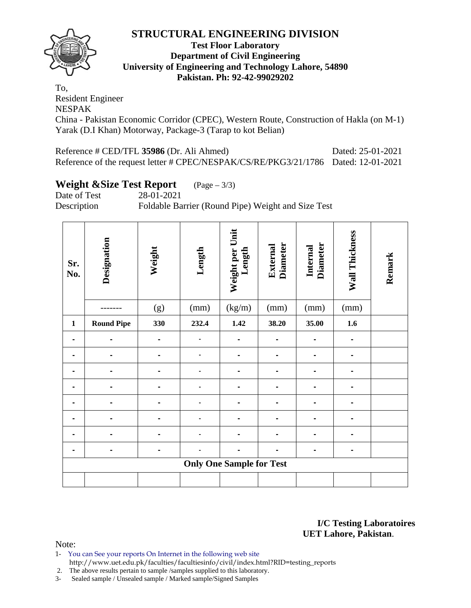

### **Test Floor Laboratory Department of Civil Engineering University of Engineering and Technology Lahore, 54890 Pakistan. Ph: 92-42-99029202**

To, Resident Engineer NESPAK China - Pakistan Economic Corridor (CPEC), Western Route, Construction of Hakla (on M-1) Yarak (D.I Khan) Motorway, Package-3 (Tarap to kot Belian)

Reference # CED/TFL **35986** (Dr. Ali Ahmed) Dated: 25-01-2021 Reference of the request letter # CPEC/NESPAK/CS/RE/PKG3/21/1786 Dated: 12-01-2021

# **Weight &Size Test Report** (Page – 3/3)

Date of Test 28-01-2021

Description Foldable Barrier (Round Pipe) Weight and Size Test

| Sr.<br>No.   | Designation       | Weight | Length | Weight per Unit<br>Length       | <b>Diameter</b><br>External | <b>Diameter</b><br>Internal | Wall Thickness | Remark |
|--------------|-------------------|--------|--------|---------------------------------|-----------------------------|-----------------------------|----------------|--------|
|              |                   | (g)    | (mm)   | (kg/m)                          | (mm)                        | (mm)                        | (mm)           |        |
| $\mathbf{1}$ | <b>Round Pipe</b> | 330    | 232.4  | 1.42                            | 38.20                       | 35.00                       | 1.6            |        |
|              |                   |        |        |                                 |                             |                             |                |        |
|              |                   |        |        |                                 |                             |                             |                |        |
|              |                   |        |        |                                 | -                           |                             |                |        |
|              |                   |        |        |                                 | -                           |                             |                |        |
|              |                   |        |        |                                 | -                           |                             |                |        |
|              |                   |        |        |                                 | $\blacksquare$              |                             |                |        |
|              |                   |        |        |                                 | $\blacksquare$              |                             |                |        |
|              |                   |        |        |                                 | -                           |                             |                |        |
|              |                   |        |        | <b>Only One Sample for Test</b> |                             |                             |                |        |
|              |                   |        |        |                                 |                             |                             |                |        |

**I/C Testing Laboratoires UET Lahore, Pakistan**.

- 1- You can See your reports On Internet in the following web site http://www.uet.edu.pk/faculties/facultiesinfo/civil/index.html?RID=testing\_reports
- 2. The above results pertain to sample /samples supplied to this laboratory.
- 3- Sealed sample / Unsealed sample / Marked sample/Signed Samples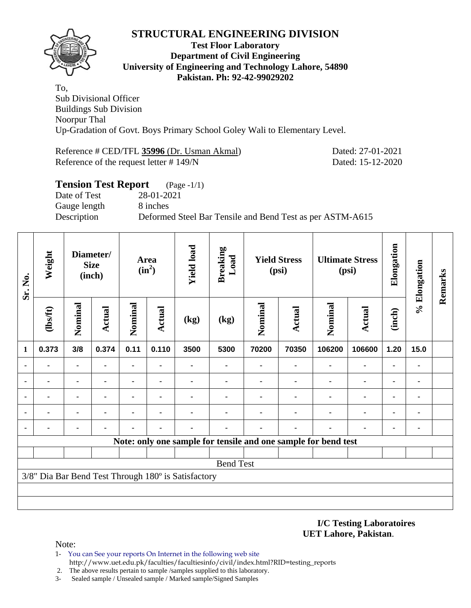

#### **Test Floor Laboratory Department of Civil Engineering University of Engineering and Technology Lahore, 54890 Pakistan. Ph: 92-42-99029202**

To, Sub Divisional Officer Buildings Sub Division Noorpur Thal Up-Gradation of Govt. Boys Primary School Goley Wali to Elementary Level.

Reference # CED/TFL **35996** (Dr. Usman Akmal) Dated: 27-01-2021 Reference of the request letter # 149/N Dated: 15-12-2020

| <b>Tension Test Report</b> | $(Page - 1/1)$                                            |
|----------------------------|-----------------------------------------------------------|
| Date of Test               | 28-01-2021                                                |
| Gauge length               | 8 inches                                                  |
| Description                | Deformed Steel Bar Tensile and Bend Test as per ASTM-A615 |
|                            |                                                           |

| Sr. No.        | Weight         |                | Diameter/<br><b>Size</b><br>(inch) |         |        |                                                     | Area<br>$(in^2)$ |         | <b>Yield load</b> | <b>Breaking</b><br>Load                                        |                | <b>Yield Stress</b><br>(psi) |      | <b>Ultimate Stress</b><br>(psi) | Elongation | % Elongation | Remarks |
|----------------|----------------|----------------|------------------------------------|---------|--------|-----------------------------------------------------|------------------|---------|-------------------|----------------------------------------------------------------|----------------|------------------------------|------|---------------------------------|------------|--------------|---------|
|                | $\frac{2}{10}$ | Nominal        | Actual                             | Nominal | Actual | (kg)                                                | (kg)             | Nominal | Actual            | Nominal                                                        | <b>Actual</b>  | (inch)                       |      |                                 |            |              |         |
| 1              | 0.373          | 3/8            | 0.374                              | 0.11    | 0.110  | 3500                                                | 5300             | 70200   | 70350             | 106200                                                         | 106600         | 1.20                         | 15.0 |                                 |            |              |         |
| $\blacksquare$ |                |                | $\blacksquare$                     | -       |        |                                                     |                  |         | ۰                 | ٠                                                              | ۰              | ٠                            |      |                                 |            |              |         |
| ٠              | ۰              |                | $\blacksquare$                     | -       | ٠      | ۰                                                   |                  |         | ۰                 | ٠                                                              | $\blacksquare$ | ۰                            |      |                                 |            |              |         |
|                |                | $\blacksquare$ | ۰                                  | ۰       | ٠      |                                                     |                  |         |                   | ٠                                                              | $\blacksquare$ | ٠                            |      |                                 |            |              |         |
|                |                | ۰              |                                    |         |        |                                                     |                  |         |                   |                                                                | ٠              | ٠                            |      |                                 |            |              |         |
| ٠              |                | ۰              |                                    |         |        |                                                     |                  |         |                   |                                                                |                | ٠                            |      |                                 |            |              |         |
|                |                |                |                                    |         |        |                                                     |                  |         |                   | Note: only one sample for tensile and one sample for bend test |                |                              |      |                                 |            |              |         |
|                |                |                |                                    |         |        |                                                     |                  |         |                   |                                                                |                |                              |      |                                 |            |              |         |
|                |                |                |                                    |         |        |                                                     | <b>Bend Test</b> |         |                   |                                                                |                |                              |      |                                 |            |              |         |
|                |                |                |                                    |         |        | 3/8" Dia Bar Bend Test Through 180° is Satisfactory |                  |         |                   |                                                                |                |                              |      |                                 |            |              |         |
|                |                |                |                                    |         |        |                                                     |                  |         |                   |                                                                |                |                              |      |                                 |            |              |         |
|                |                |                |                                    |         |        |                                                     |                  |         |                   |                                                                |                |                              |      |                                 |            |              |         |

#### **I/C Testing Laboratoires UET Lahore, Pakistan**.

- 1- You can See your reports On Internet in the following web site http://www.uet.edu.pk/faculties/facultiesinfo/civil/index.html?RID=testing\_reports
- 2. The above results pertain to sample /samples supplied to this laboratory.
- 3- Sealed sample / Unsealed sample / Marked sample/Signed Samples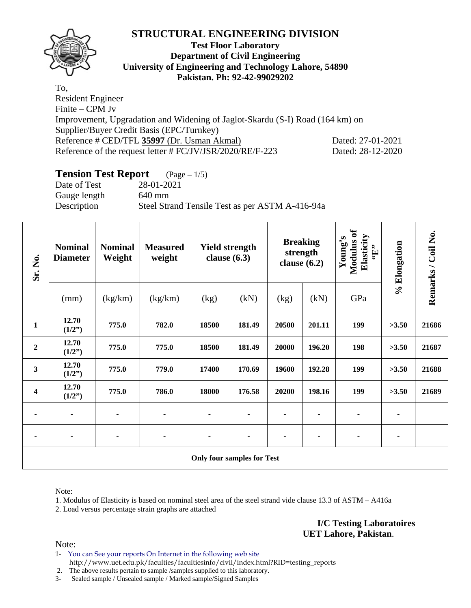

### **Test Floor Laboratory Department of Civil Engineering University of Engineering and Technology Lahore, 54890 Pakistan. Ph: 92-42-99029202**

To, Resident Engineer Finite – CPM Jv Improvement, Upgradation and Widening of Jaglot-Skardu (S-I) Road (164 km) on Supplier/Buyer Credit Basis (EPC/Turnkey) Reference # CED/TFL **35997** (Dr. Usman Akmal) Dated: 27-01-2021 Reference of the request letter # FC/JV/JSR/2020/RE/F-223 Dated: 28-12-2020

### **Tension Test Report** (Page – 1/5)

Date of Test 28-01-2021 Gauge length 640 mm Description Steel Strand Tensile Test as per ASTM A-416-94a

| Sr. No.                 | <b>Nominal</b><br><b>Diameter</b> | <b>Nominal</b><br>Weight | <b>Measured</b><br>weight | <b>Yield strength</b><br>clause $(6.3)$ |        | <b>Breaking</b><br>strength<br>clause $(6.2)$ |        | Modulus of<br>Elasticity<br>Young's<br>$\mathbf{F}$ | % Elongation | Remarks / Coil No. |
|-------------------------|-----------------------------------|--------------------------|---------------------------|-----------------------------------------|--------|-----------------------------------------------|--------|-----------------------------------------------------|--------------|--------------------|
|                         | (mm)                              | (kg/km)                  | (kg/km)                   | (kg)                                    | (kN)   | (kg)                                          | (kN)   | GPa                                                 |              |                    |
| $\mathbf{1}$            | 12.70<br>(1/2")                   | 775.0                    | 782.0                     | 18500                                   | 181.49 | 20500                                         | 201.11 | 199                                                 | >3.50        | 21686              |
| $\boldsymbol{2}$        | 12.70<br>(1/2")                   | 775.0                    | 775.0                     | 18500                                   | 181.49 | 20000                                         | 196.20 | 198                                                 | >3.50        | 21687              |
| 3                       | 12.70<br>(1/2")                   | 775.0                    | 779.0                     | 17400                                   | 170.69 | 19600                                         | 192.28 | 199                                                 | >3.50        | 21688              |
| $\overline{\mathbf{4}}$ | 12.70<br>(1/2")                   | 775.0                    | 786.0                     | 18000                                   | 176.58 | 20200                                         | 198.16 | 199                                                 | >3.50        | 21689              |
| ۰                       |                                   |                          |                           |                                         |        |                                               |        |                                                     |              |                    |
| ۰                       | ۰                                 | ۰                        | ٠                         | ۰                                       |        | ٠                                             | ٠      | ٠                                                   | ۰            |                    |
|                         |                                   |                          |                           | <b>Only four samples for Test</b>       |        |                                               |        |                                                     |              |                    |

Note:

1. Modulus of Elasticity is based on nominal steel area of the steel strand vide clause 13.3 of ASTM – A416a

2. Load versus percentage strain graphs are attached

**I/C Testing Laboratoires UET Lahore, Pakistan**.

Note:

1- You can See your reports On Internet in the following web site http://www.uet.edu.pk/faculties/facultiesinfo/civil/index.html?RID=testing\_reports

2. The above results pertain to sample /samples supplied to this laboratory.

3- Sealed sample / Unsealed sample / Marked sample/Signed Samples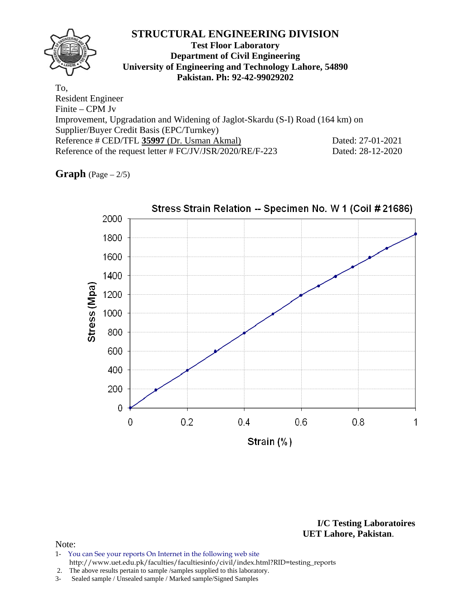Reference of the request letter # FC/JV/JSR/2020/RE/F-223 Dated: 28-12-2020

**Graph** (Page – 2/5)



**I/C Testing Laboratoires UET Lahore, Pakistan**.

- 1- You can See your reports On Internet in the following web site http://www.uet.edu.pk/faculties/facultiesinfo/civil/index.html?RID=testing\_reports
- 2. The above results pertain to sample /samples supplied to this laboratory.
- 3- Sealed sample / Unsealed sample / Marked sample/Signed Samples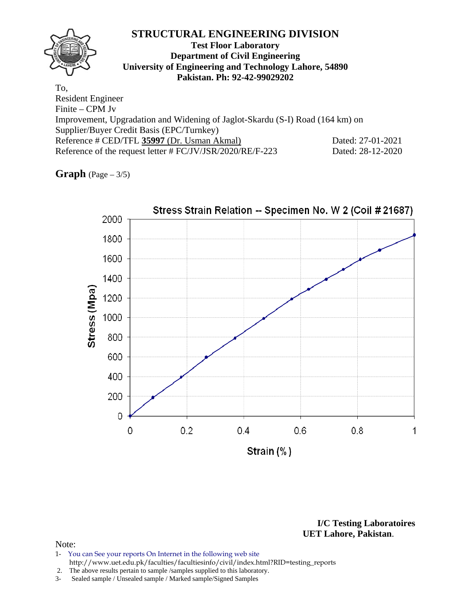| ACTURUM ULD/11 L JJJJ/ (DI, USHIAH AKHIAH) |                                                           | $P4004. 21 - 01 - 2021$ |
|--------------------------------------------|-----------------------------------------------------------|-------------------------|
|                                            | Reference of the request letter # FC/JV/JSR/2020/RE/F-223 | Dated: 28-12-2020       |

**Graph** (Page – 3/5)



**I/C Testing Laboratoires UET Lahore, Pakistan**.

- 1- You can See your reports On Internet in the following web site http://www.uet.edu.pk/faculties/facultiesinfo/civil/index.html?RID=testing\_reports
- 2. The above results pertain to sample /samples supplied to this laboratory.
- 3- Sealed sample / Unsealed sample / Marked sample/Signed Samples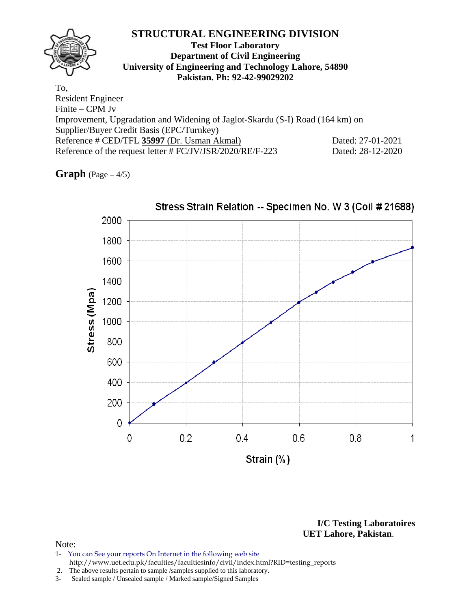Reference of the request letter # FC/JV/JSR/2020/RE/F-223 Dated: 28-12-2020

**Graph**  $(Page - 4/5)$ 



Stress Strain Relation -- Specimen No. W 3 (Coil # 21688)

**I/C Testing Laboratoires UET Lahore, Pakistan**.

- 1- You can See your reports On Internet in the following web site http://www.uet.edu.pk/faculties/facultiesinfo/civil/index.html?RID=testing\_reports
- 2. The above results pertain to sample /samples supplied to this laboratory.
- 3- Sealed sample / Unsealed sample / Marked sample/Signed Samples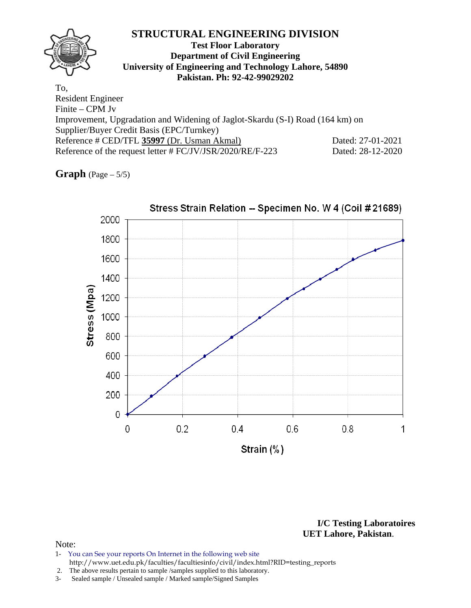Reference of the request letter # FC/JV/JSR/2020/RE/F-223 Dated: 28-12-2020

**Graph**  $(Page - 5/5)$ 



**I/C Testing Laboratoires UET Lahore, Pakistan**.

- 1- You can See your reports On Internet in the following web site http://www.uet.edu.pk/faculties/facultiesinfo/civil/index.html?RID=testing\_reports
- 2. The above results pertain to sample /samples supplied to this laboratory.
- 3- Sealed sample / Unsealed sample / Marked sample/Signed Samples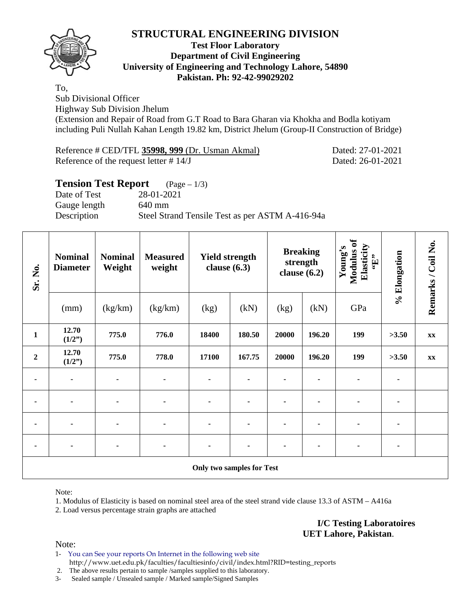

#### **Test Floor Laboratory Department of Civil Engineering University of Engineering and Technology Lahore, 54890 Pakistan. Ph: 92-42-99029202**

To,

Sub Divisional Officer

Highway Sub Division Jhelum

(Extension and Repair of Road from G.T Road to Bara Gharan via Khokha and Bodla kotiyam including Puli Nullah Kahan Length 19.82 km, District Jhelum (Group-II Construction of Bridge)

| Reference # CED/TFL 35998, 999 (Dr. Usman Akmal) | Dated: 27-01-2021 |
|--------------------------------------------------|-------------------|
| Reference of the request letter $\# 14/J$        | Dated: 26-01-2021 |

### **Tension Test Report** (Page – 1/3)

Date of Test 28-01-2021 Gauge length 640 mm Description Steel Strand Tensile Test as per ASTM A-416-94a

| Sr. No.          | <b>Nominal</b><br><b>Diameter</b> | <b>Nominal</b><br>Weight | <b>Measured</b><br>weight | <b>Yield strength</b><br>clause $(6.3)$ |        | <b>Breaking</b><br>strength<br>clause $(6.2)$ |        | Modulus of<br>Elasticity<br>Young's<br>$\mathbf{f}$ . | % Elongation | Remarks / Coil No. |
|------------------|-----------------------------------|--------------------------|---------------------------|-----------------------------------------|--------|-----------------------------------------------|--------|-------------------------------------------------------|--------------|--------------------|
|                  | (mm)                              | (kg/km)                  | (kg/km)                   | (kg)                                    | (kN)   | (kg)                                          | (kN)   | GPa                                                   |              |                    |
| $\mathbf{1}$     | 12.70<br>(1/2")                   | 775.0                    | 776.0                     | 18400                                   | 180.50 | 20000                                         | 196.20 | 199                                                   | >3.50        | XX                 |
| $\boldsymbol{2}$ | 12.70<br>(1/2")                   | 775.0                    | 778.0                     | 17100                                   | 167.75 | 20000                                         | 196.20 | 199                                                   | >3.50        | XX                 |
| ۰                | $\blacksquare$                    |                          |                           |                                         |        |                                               |        |                                                       |              |                    |
| ۰                |                                   |                          |                           |                                         |        |                                               |        |                                                       |              |                    |
| ۰                | $\blacksquare$                    |                          |                           | ۰                                       |        |                                               |        |                                                       |              |                    |
| ۰                | ۰                                 | ٠                        | ٠                         | ٠                                       |        |                                               | ٠      | ٠                                                     | ٠            |                    |
|                  |                                   |                          |                           | Only two samples for Test               |        |                                               |        |                                                       |              |                    |

Note:

1. Modulus of Elasticity is based on nominal steel area of the steel strand vide clause 13.3 of ASTM – A416a

2. Load versus percentage strain graphs are attached

**I/C Testing Laboratoires UET Lahore, Pakistan**.

Note:

1- You can See your reports On Internet in the following web site http://www.uet.edu.pk/faculties/facultiesinfo/civil/index.html?RID=testing\_reports

2. The above results pertain to sample /samples supplied to this laboratory.

3- Sealed sample / Unsealed sample / Marked sample/Signed Samples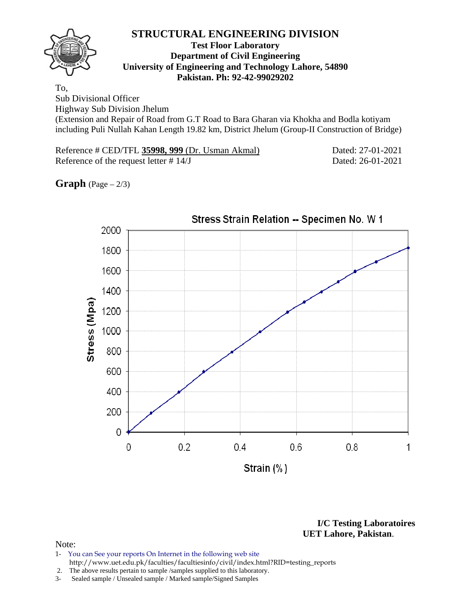

#### **Test Floor Laboratory Department of Civil Engineering University of Engineering and Technology Lahore, 54890 Pakistan. Ph: 92-42-99029202**

To,

Sub Divisional Officer

Highway Sub Division Jhelum

(Extension and Repair of Road from G.T Road to Bara Gharan via Khokha and Bodla kotiyam including Puli Nullah Kahan Length 19.82 km, District Jhelum (Group-II Construction of Bridge)

| Reference # CED/TFL 35998, 999 (Dr. Usman Akmal) | Dated: 27-01-2021 |
|--------------------------------------------------|-------------------|
| Reference of the request letter $# 14/J$         | Dated: 26-01-2021 |

**Graph** (Page – 2/3)



**I/C Testing Laboratoires UET Lahore, Pakistan**.

- 1- You can See your reports On Internet in the following web site http://www.uet.edu.pk/faculties/facultiesinfo/civil/index.html?RID=testing\_reports
- 2. The above results pertain to sample /samples supplied to this laboratory.
- 3- Sealed sample / Unsealed sample / Marked sample/Signed Samples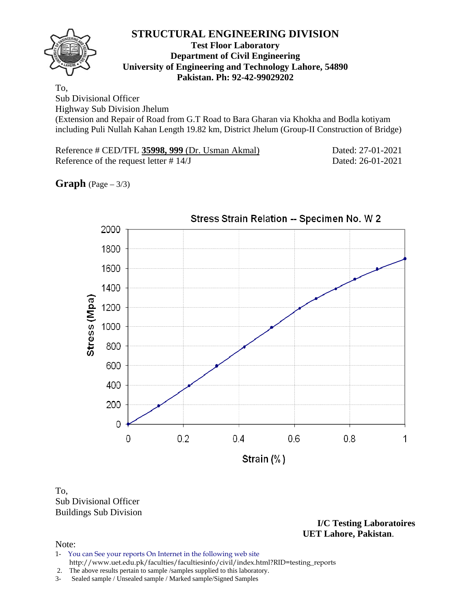

#### **Test Floor Laboratory Department of Civil Engineering University of Engineering and Technology Lahore, 54890 Pakistan. Ph: 92-42-99029202**

To, Sub Divisional Officer

Highway Sub Division Jhelum

(Extension and Repair of Road from G.T Road to Bara Gharan via Khokha and Bodla kotiyam including Puli Nullah Kahan Length 19.82 km, District Jhelum (Group-II Construction of Bridge)

| Reference # CED/TFL 35998, 999 (Dr. Usman Akmal) | Dated: 27-01-2021 |
|--------------------------------------------------|-------------------|
| Reference of the request letter $\# 14/J$        | Dated: 26-01-2021 |

**Graph** (Page – 3/3)



### To, Sub Divisional Officer Buildings Sub Division

**I/C Testing Laboratoires UET Lahore, Pakistan**.

- 1- You can See your reports On Internet in the following web site http://www.uet.edu.pk/faculties/facultiesinfo/civil/index.html?RID=testing\_reports
- 2. The above results pertain to sample /samples supplied to this laboratory.
- 3- Sealed sample / Unsealed sample / Marked sample/Signed Samples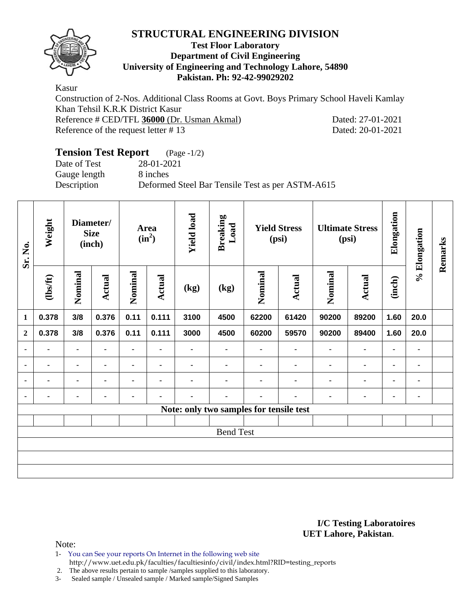

#### **Test Floor Laboratory Department of Civil Engineering University of Engineering and Technology Lahore, 54890 Pakistan. Ph: 92-42-99029202**

Kasur Construction of 2-Nos. Additional Class Rooms at Govt. Boys Primary School Haveli Kamlay Khan Tehsil K.R.K District Kasur Reference # CED/TFL **36000** (Dr. Usman Akmal) Dated: 27-01-2021 Reference of the request letter # 13 Dated: 20-01-2021

# **Tension Test Report** (Page -1/2)

Gauge length 8 inches

Date of Test 28-01-2021 Description Deformed Steel Bar Tensile Test as per ASTM-A615

| Sr. No.        | Weight         | Diameter/<br><b>Size</b><br>(inch) |                | Area<br>$(in^2)$ |                | <b>Yield load</b> | <b>Breaking</b><br>Load<br><b>Yield Stress</b><br>(psi) |                                         | <b>Ultimate Stress</b><br>(psi) |                | Elongation    | % Elongation   | Remarks        |  |
|----------------|----------------|------------------------------------|----------------|------------------|----------------|-------------------|---------------------------------------------------------|-----------------------------------------|---------------------------------|----------------|---------------|----------------|----------------|--|
|                | (1bsft)        | Nominal                            | <b>Actual</b>  | Nominal          | <b>Actual</b>  | (kg)              | (kg)                                                    | Nominal                                 | <b>Actual</b>                   | Nominal        | <b>Actual</b> | (inch)         |                |  |
| $\mathbf{1}$   | 0.378          | 3/8                                | 0.376          | 0.11             | 0.111          | 3100              | 4500                                                    | 62200                                   | 61420                           | 90200          | 89200         | 1.60           | 20.0           |  |
| $\overline{2}$ | 0.378          | 3/8                                | 0.376          | 0.11             | 0.111          | 3000              | 4500                                                    | 60200                                   | 59570                           | 90200          | 89400         | 1.60           | 20.0           |  |
| $\blacksquare$ |                | $\blacksquare$                     | $\blacksquare$ | $\blacksquare$   | $\blacksquare$ |                   | $\blacksquare$                                          | $\blacksquare$                          | $\blacksquare$                  | $\blacksquare$ | ۰             | $\blacksquare$ | ٠              |  |
| ٠              | -              | ۰                                  | ٠              | ۰                | ٠              |                   |                                                         |                                         | ٠                               | ٠              | ۰             | ۰              | ٠              |  |
| ٠              | $\blacksquare$ |                                    | $\blacksquare$ | $\blacksquare$   | ٠              | $\blacksquare$    |                                                         |                                         |                                 | ٠              | ۰             | $\blacksquare$ | $\blacksquare$ |  |
| ٠              | ۰              | ۰                                  | $\blacksquare$ | ۰                |                |                   |                                                         |                                         | ٠                               | ٠              | ۰             | ۰              | ٠              |  |
|                |                |                                    |                |                  |                |                   |                                                         | Note: only two samples for tensile test |                                 |                |               |                |                |  |
|                |                |                                    |                |                  |                |                   |                                                         |                                         |                                 |                |               |                |                |  |
|                |                |                                    |                |                  |                |                   | <b>Bend Test</b>                                        |                                         |                                 |                |               |                |                |  |
|                |                |                                    |                |                  |                |                   |                                                         |                                         |                                 |                |               |                |                |  |
|                |                |                                    |                |                  |                |                   |                                                         |                                         |                                 |                |               |                |                |  |
|                |                |                                    |                |                  |                |                   |                                                         |                                         |                                 |                |               |                |                |  |

#### **I/C Testing Laboratoires UET Lahore, Pakistan**.

- 1- You can See your reports On Internet in the following web site
	- http://www.uet.edu.pk/faculties/facultiesinfo/civil/index.html?RID=testing\_reports
- 2. The above results pertain to sample /samples supplied to this laboratory.
- 3- Sealed sample / Unsealed sample / Marked sample/Signed Samples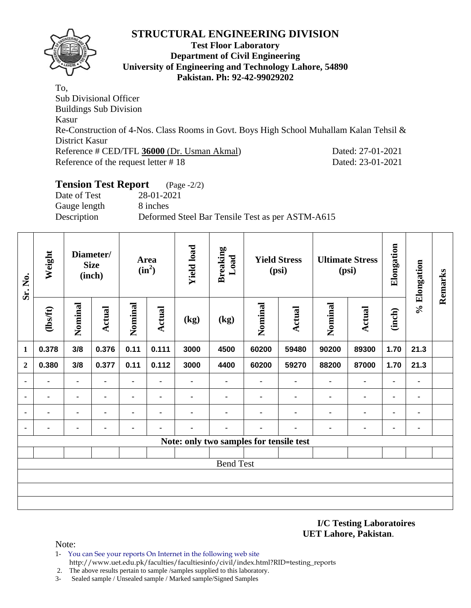

#### **Test Floor Laboratory Department of Civil Engineering University of Engineering and Technology Lahore, 54890 Pakistan. Ph: 92-42-99029202**

To, Sub Divisional Officer Buildings Sub Division Kasur Re-Construction of 4-Nos. Class Rooms in Govt. Boys High School Muhallam Kalan Tehsil & District Kasur Reference # CED/TFL **36000** (Dr. Usman Akmal) Dated: 27-01-2021 Reference of the request letter # 18 Dated: 23-01-2021

# **Tension Test Report** (Page -2/2)

Date of Test 28-01-2021 Gauge length 8 inches Description Deformed Steel Bar Tensile Test as per ASTM-A615

| Sr. No.          | Weight         | Diameter/<br><b>Size</b><br>(inch) |                |         | Area<br>$(in^2)$ | <b>Yield load</b> | <b>Breaking</b><br>Load                 | <b>Yield Stress</b><br>(psi) |                | <b>Ultimate Stress</b><br>(psi) |                | Elongation     | % Elongation | Remarks |
|------------------|----------------|------------------------------------|----------------|---------|------------------|-------------------|-----------------------------------------|------------------------------|----------------|---------------------------------|----------------|----------------|--------------|---------|
|                  | $\frac{2}{10}$ | Nominal                            | <b>Actual</b>  | Nominal | <b>Actual</b>    | (kg)              | (kg)                                    | Nominal                      | Actual         | Nominal                         | <b>Actual</b>  | (inch)         |              |         |
| $\mathbf{1}$     | 0.378          | 3/8                                | 0.376          | 0.11    | 0.111            | 3000              | 4500                                    | 60200                        | 59480          | 90200                           | 89300          | 1.70           | 21.3         |         |
| $\mathbf{2}$     | 0.380          | 3/8                                | 0.377          | 0.11    | 0.112            | 3000              | 4400                                    | 60200                        | 59270          | 88200                           | 87000          | 1.70           | 21.3         |         |
| $\blacksquare$   | ۰              | $\blacksquare$                     | $\blacksquare$ |         | $\blacksquare$   | ۰                 | ۰                                       |                              | $\blacksquare$ | $\blacksquare$                  | $\blacksquare$ | $\blacksquare$ | ٠            |         |
| ٠                | ٠              | $\blacksquare$                     | -              | ۰       | $\blacksquare$   | ۰                 | $\blacksquare$                          |                              | ٠              | ٠                               | $\blacksquare$ | $\blacksquare$ | ۰            |         |
| ٠                | ۰              | $\blacksquare$                     | $\blacksquare$ |         | $\blacksquare$   |                   | $\blacksquare$                          |                              | $\blacksquare$ | ٠                               | $\blacksquare$ |                | ٠            |         |
| $\blacksquare$   |                | $\blacksquare$                     |                |         | ٠                | -                 | $\blacksquare$                          |                              | ٠              | $\blacksquare$                  | $\blacksquare$ | ۰              | ٠            |         |
|                  |                |                                    |                |         |                  |                   | Note: only two samples for tensile test |                              |                |                                 |                |                |              |         |
|                  |                |                                    |                |         |                  |                   |                                         |                              |                |                                 |                |                |              |         |
| <b>Bend Test</b> |                |                                    |                |         |                  |                   |                                         |                              |                |                                 |                |                |              |         |
|                  |                |                                    |                |         |                  |                   |                                         |                              |                |                                 |                |                |              |         |
|                  |                |                                    |                |         |                  |                   |                                         |                              |                |                                 |                |                |              |         |
|                  |                |                                    |                |         |                  |                   |                                         |                              |                |                                 |                |                |              |         |

#### **I/C Testing Laboratoires UET Lahore, Pakistan**.

- 1- You can See your reports On Internet in the following web site http://www.uet.edu.pk/faculties/facultiesinfo/civil/index.html?RID=testing\_reports
- 2. The above results pertain to sample /samples supplied to this laboratory.
- 3- Sealed sample / Unsealed sample / Marked sample/Signed Samples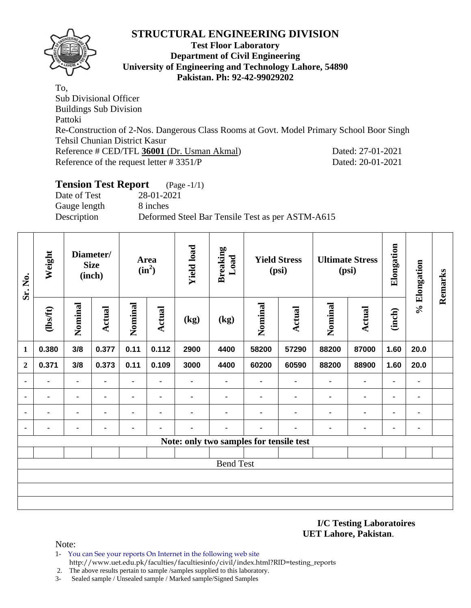

#### **Test Floor Laboratory Department of Civil Engineering University of Engineering and Technology Lahore, 54890 Pakistan. Ph: 92-42-99029202**

To, Sub Divisional Officer Buildings Sub Division Pattoki Re-Construction of 2-Nos. Dangerous Class Rooms at Govt. Model Primary School Boor Singh Tehsil Chunian District Kasur Reference # CED/TFL **36001** (Dr. Usman Akmal) Dated: 27-01-2021 Reference of the request letter # 3351/P Dated: 20-01-2021

#### **Tension Test Report** (Page -1/1) Date of Test 28-01-2021

Gauge length 8 inches

Description Deformed Steel Bar Tensile Test as per ASTM-A615

| Sr. No.          | Weight                                  | Diameter/<br><b>Size</b><br>(inch) |                | Area<br>$(in^2)$ |                | <b>Yield load</b> | <b>Breaking</b><br>Load  | <b>Yield Stress</b><br>(psi) |                | <b>Ultimate Stress</b><br>(psi) |                | Elongation     | % Elongation   | Remarks |
|------------------|-----------------------------------------|------------------------------------|----------------|------------------|----------------|-------------------|--------------------------|------------------------------|----------------|---------------------------------|----------------|----------------|----------------|---------|
|                  | $\frac{2}{10}$                          | Nominal                            | <b>Actual</b>  | Nominal          | Actual         | (kg)              | $\left(\text{kg}\right)$ | Nominal                      | Actual         | Nominal                         | Actual         | (inch)         |                |         |
| 1                | 0.380                                   | 3/8                                | 0.377          | 0.11             | 0.112          | 2900              | 4400                     | 58200                        | 57290          | 88200                           | 87000          | 1.60           | 20.0           |         |
| $\overline{2}$   | 0.371                                   | 3/8                                | 0.373          | 0.11             | 0.109          | 3000              | 4400                     | 60200                        | 60590          | 88200                           | 88900          | 1.60           | 20.0           |         |
|                  |                                         |                                    |                |                  | $\blacksquare$ | ۰                 |                          | $\blacksquare$               | $\blacksquare$ | $\blacksquare$                  | -              | $\blacksquare$ | $\blacksquare$ |         |
| $\blacksquare$   | $\blacksquare$                          | $\blacksquare$                     | $\blacksquare$ |                  | ۰              | $\blacksquare$    |                          | $\blacksquare$               | ٠              | ٠                               | $\blacksquare$ | $\blacksquare$ | ۰              |         |
| $\blacksquare$   | ٠                                       | ٠                                  | ۰              |                  | $\blacksquare$ | $\blacksquare$    |                          | ۰                            | $\blacksquare$ | $\blacksquare$                  | $\blacksquare$ | $\blacksquare$ | ٠              |         |
|                  | $\blacksquare$                          |                                    | ۰              | $\blacksquare$   | $\blacksquare$ |                   |                          | ٠                            | ٠              | $\blacksquare$                  | $\blacksquare$ | $\blacksquare$ | ٠              |         |
|                  | Note: only two samples for tensile test |                                    |                |                  |                |                   |                          |                              |                |                                 |                |                |                |         |
|                  |                                         |                                    |                |                  |                |                   |                          |                              |                |                                 |                |                |                |         |
| <b>Bend Test</b> |                                         |                                    |                |                  |                |                   |                          |                              |                |                                 |                |                |                |         |
|                  |                                         |                                    |                |                  |                |                   |                          |                              |                |                                 |                |                |                |         |
|                  |                                         |                                    |                |                  |                |                   |                          |                              |                |                                 |                |                |                |         |
|                  |                                         |                                    |                |                  |                |                   |                          |                              |                |                                 |                |                |                |         |

**I/C Testing Laboratoires UET Lahore, Pakistan**.

- 1- You can See your reports On Internet in the following web site http://www.uet.edu.pk/faculties/facultiesinfo/civil/index.html?RID=testing\_reports
- 2. The above results pertain to sample /samples supplied to this laboratory.
- 3- Sealed sample / Unsealed sample / Marked sample/Signed Samples